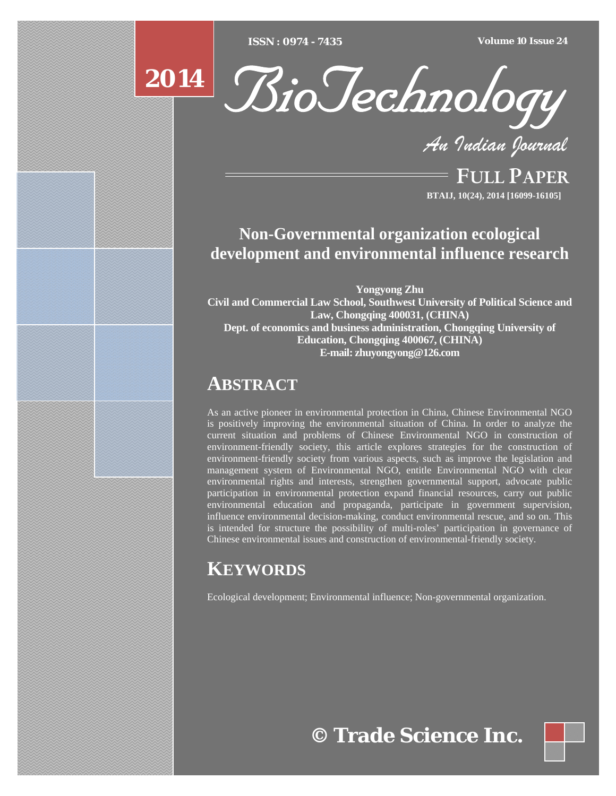[Type text] [Type text] [Type text] *ISSN : 0974 - 7435 Volume 10 Issue 24*





*An Indian Journal*

FULL PAPER **BTAIJ, 10(24), 2014 [16099-16105]**

### **Non-Governmental organization ecological development and environmental influence research**

**Yongyong Zhu Civil and Commercial Law School, Southwest University of Political Science and Law, Chongqing 400031, (CHINA) Dept. of economics and business administration, Chongqing University of Education, Chongqing 400067, (CHINA) E-mail: zhuyongyong@126.com** 

## **ABSTRACT**

As an active pioneer in environmental protection in China, Chinese Environmental NGO is positively improving the environmental situation of China. In order to analyze the current situation and problems of Chinese Environmental NGO in construction of environment-friendly society, this article explores strategies for the construction of environment-friendly society from various aspects, such as improve the legislation and management system of Environmental NGO, entitle Environmental NGO with clear environmental rights and interests, strengthen governmental support, advocate public participation in environmental protection expand financial resources, carry out public environmental education and propaganda, participate in government supervision, influence environmental decision-making, conduct environmental rescue, and so on. This is intended for structure the possibility of multi-roles' participation in governance of Chinese environmental issues and construction of environmental-friendly society.

# **KEYWORDS**

Ecological development; Environmental influence; Non-governmental organization.

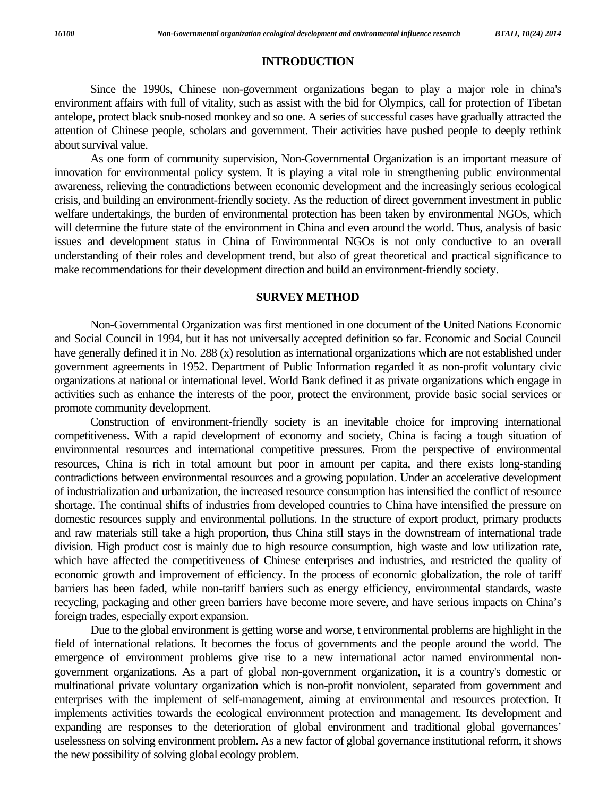#### **INTRODUCTION**

 Since the 1990s, Chinese non-government organizations began to play a major role in china's environment affairs with full of vitality, such as assist with the bid for Olympics, call for protection of Tibetan antelope, protect black snub-nosed monkey and so one. A series of successful cases have gradually attracted the attention of Chinese people, scholars and government. Their activities have pushed people to deeply rethink about survival value.

 As one form of community supervision, Non-Governmental Organization is an important measure of innovation for environmental policy system. It is playing a vital role in strengthening public environmental awareness, relieving the contradictions between economic development and the increasingly serious ecological crisis, and building an environment-friendly society. As the reduction of direct government investment in public welfare undertakings, the burden of environmental protection has been taken by environmental NGOs, which will determine the future state of the environment in China and even around the world. Thus, analysis of basic issues and development status in China of Environmental NGOs is not only conductive to an overall understanding of their roles and development trend, but also of great theoretical and practical significance to make recommendations for their development direction and build an environment-friendly society.

#### **SURVEY METHOD**

 Non-Governmental Organization was first mentioned in one document of the United Nations Economic and Social Council in 1994, but it has not universally accepted definition so far. Economic and Social Council have generally defined it in No. 288 (x) resolution as international organizations which are not established under government agreements in 1952. Department of Public Information regarded it as non-profit voluntary civic organizations at national or international level. World Bank defined it as private organizations which engage in activities such as enhance the interests of the poor, protect the environment, provide basic social services or promote community development.

 Construction of environment-friendly society is an inevitable choice for improving international competitiveness. With a rapid development of economy and society, China is facing a tough situation of environmental resources and international competitive pressures. From the perspective of environmental resources, China is rich in total amount but poor in amount per capita, and there exists long-standing contradictions between environmental resources and a growing population. Under an accelerative development of industrialization and urbanization, the increased resource consumption has intensified the conflict of resource shortage. The continual shifts of industries from developed countries to China have intensified the pressure on domestic resources supply and environmental pollutions. In the structure of export product, primary products and raw materials still take a high proportion, thus China still stays in the downstream of international trade division. High product cost is mainly due to high resource consumption, high waste and low utilization rate, which have affected the competitiveness of Chinese enterprises and industries, and restricted the quality of economic growth and improvement of efficiency. In the process of economic globalization, the role of tariff barriers has been faded, while non-tariff barriers such as energy efficiency, environmental standards, waste recycling, packaging and other green barriers have become more severe, and have serious impacts on China's foreign trades, especially export expansion.

 Due to the global environment is getting worse and worse, t environmental problems are highlight in the field of international relations. It becomes the focus of governments and the people around the world. The emergence of environment problems give rise to a new international actor named environmental nongovernment organizations. As a part of global non-government organization, it is a country's domestic or multinational private voluntary organization which is non-profit nonviolent, separated from government and enterprises with the implement of self-management, aiming at environmental and resources protection. It implements activities towards the ecological environment protection and management. Its development and expanding are responses to the deterioration of global environment and traditional global governances' uselessness on solving environment problem. As a new factor of global governance institutional reform, it shows the new possibility of solving global ecology problem.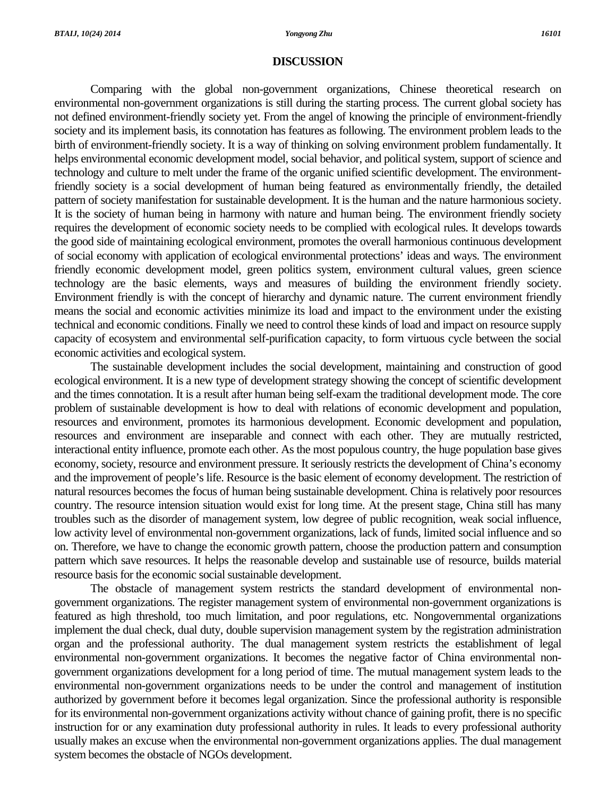#### **DISCUSSION**

 Comparing with the global non-government organizations, Chinese theoretical research on environmental non-government organizations is still during the starting process. The current global society has not defined environment-friendly society yet. From the angel of knowing the principle of environment-friendly society and its implement basis, its connotation has features as following. The environment problem leads to the birth of environment-friendly society. It is a way of thinking on solving environment problem fundamentally. It helps environmental economic development model, social behavior, and political system, support of science and technology and culture to melt under the frame of the organic unified scientific development. The environmentfriendly society is a social development of human being featured as environmentally friendly, the detailed pattern of society manifestation for sustainable development. It is the human and the nature harmonious society. It is the society of human being in harmony with nature and human being. The environment friendly society requires the development of economic society needs to be complied with ecological rules. It develops towards the good side of maintaining ecological environment, promotes the overall harmonious continuous development of social economy with application of ecological environmental protections' ideas and ways. The environment friendly economic development model, green politics system, environment cultural values, green science technology are the basic elements, ways and measures of building the environment friendly society. Environment friendly is with the concept of hierarchy and dynamic nature. The current environment friendly means the social and economic activities minimize its load and impact to the environment under the existing technical and economic conditions. Finally we need to control these kinds of load and impact on resource supply capacity of ecosystem and environmental self-purification capacity, to form virtuous cycle between the social economic activities and ecological system.

 The sustainable development includes the social development, maintaining and construction of good ecological environment. It is a new type of development strategy showing the concept of scientific development and the times connotation. It is a result after human being self-exam the traditional development mode. The core problem of sustainable development is how to deal with relations of economic development and population, resources and environment, promotes its harmonious development. Economic development and population, resources and environment are inseparable and connect with each other. They are mutually restricted, interactional entity influence, promote each other. As the most populous country, the huge population base gives economy, society, resource and environment pressure. It seriously restricts the development of China's economy and the improvement of people's life. Resource is the basic element of economy development. The restriction of natural resources becomes the focus of human being sustainable development. China is relatively poor resources country. The resource intension situation would exist for long time. At the present stage, China still has many troubles such as the disorder of management system, low degree of public recognition, weak social influence, low activity level of environmental non-government organizations, lack of funds, limited social influence and so on. Therefore, we have to change the economic growth pattern, choose the production pattern and consumption pattern which save resources. It helps the reasonable develop and sustainable use of resource, builds material resource basis for the economic social sustainable development.

The obstacle of management system restricts the standard development of environmental nongovernment organizations. The register management system of environmental non-government organizations is featured as high threshold, too much limitation, and poor regulations, etc. Nongovernmental organizations implement the dual check, dual duty, double supervision management system by the registration administration organ and the professional authority. The dual management system restricts the establishment of legal environmental non-government organizations. It becomes the negative factor of China environmental nongovernment organizations development for a long period of time. The mutual management system leads to the environmental non-government organizations needs to be under the control and management of institution authorized by government before it becomes legal organization. Since the professional authority is responsible for its environmental non-government organizations activity without chance of gaining profit, there is no specific instruction for or any examination duty professional authority in rules. It leads to every professional authority usually makes an excuse when the environmental non-government organizations applies. The dual management system becomes the obstacle of NGOs development.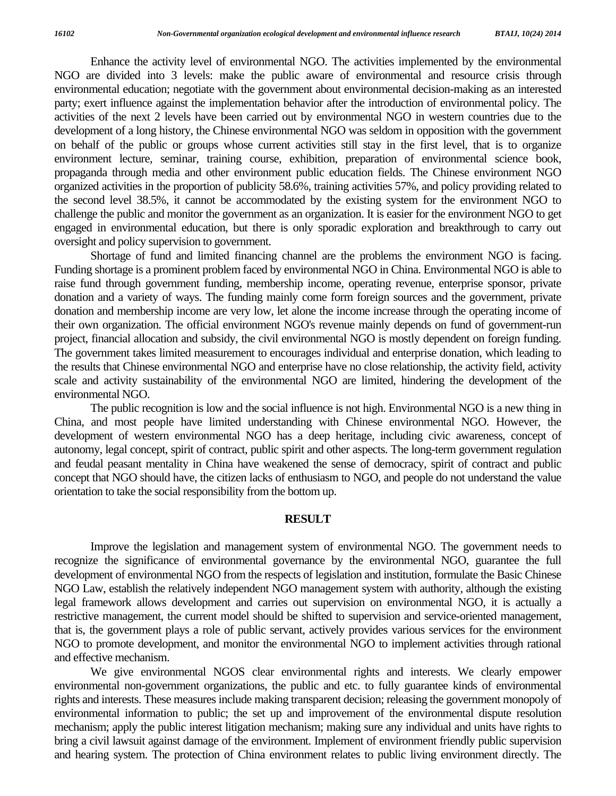Enhance the activity level of environmental NGO. The activities implemented by the environmental NGO are divided into 3 levels: make the public aware of environmental and resource crisis through environmental education; negotiate with the government about environmental decision-making as an interested party; exert influence against the implementation behavior after the introduction of environmental policy. The activities of the next 2 levels have been carried out by environmental NGO in western countries due to the development of a long history, the Chinese environmental NGO was seldom in opposition with the government on behalf of the public or groups whose current activities still stay in the first level, that is to organize environment lecture, seminar, training course, exhibition, preparation of environmental science book, propaganda through media and other environment public education fields. The Chinese environment NGO organized activities in the proportion of publicity 58.6%, training activities 57%, and policy providing related to the second level 38.5%, it cannot be accommodated by the existing system for the environment NGO to challenge the public and monitor the government as an organization. It is easier for the environment NGO to get engaged in environmental education, but there is only sporadic exploration and breakthrough to carry out oversight and policy supervision to government.

Shortage of fund and limited financing channel are the problems the environment NGO is facing. Funding shortage is a prominent problem faced by environmental NGO in China. Environmental NGO is able to raise fund through government funding, membership income, operating revenue, enterprise sponsor, private donation and a variety of ways. The funding mainly come form foreign sources and the government, private donation and membership income are very low, let alone the income increase through the operating income of their own organization. The official environment NGO's revenue mainly depends on fund of government-run project, financial allocation and subsidy, the civil environmental NGO is mostly dependent on foreign funding. The government takes limited measurement to encourages individual and enterprise donation, which leading to the results that Chinese environmental NGO and enterprise have no close relationship, the activity field, activity scale and activity sustainability of the environmental NGO are limited, hindering the development of the environmental NGO.

 The public recognition is low and the social influence is not high. Environmental NGO is a new thing in China, and most people have limited understanding with Chinese environmental NGO. However, the development of western environmental NGO has a deep heritage, including civic awareness, concept of autonomy, legal concept, spirit of contract, public spirit and other aspects. The long-term government regulation and feudal peasant mentality in China have weakened the sense of democracy, spirit of contract and public concept that NGO should have, the citizen lacks of enthusiasm to NGO, and people do not understand the value orientation to take the social responsibility from the bottom up.

#### **RESULT**

Improve the legislation and management system of environmental NGO. The government needs to recognize the significance of environmental governance by the environmental NGO, guarantee the full development of environmental NGO from the respects of legislation and institution, formulate the Basic Chinese NGO Law, establish the relatively independent NGO management system with authority, although the existing legal framework allows development and carries out supervision on environmental NGO, it is actually a restrictive management, the current model should be shifted to supervision and service-oriented management, that is, the government plays a role of public servant, actively provides various services for the environment NGO to promote development, and monitor the environmental NGO to implement activities through rational and effective mechanism.

 We give environmental NGOS clear environmental rights and interests. We clearly empower environmental non-government organizations, the public and etc. to fully guarantee kinds of environmental rights and interests. These measures include making transparent decision; releasing the government monopoly of environmental information to public; the set up and improvement of the environmental dispute resolution mechanism; apply the public interest litigation mechanism; making sure any individual and units have rights to bring a civil lawsuit against damage of the environment. Implement of environment friendly public supervision and hearing system. The protection of China environment relates to public living environment directly. The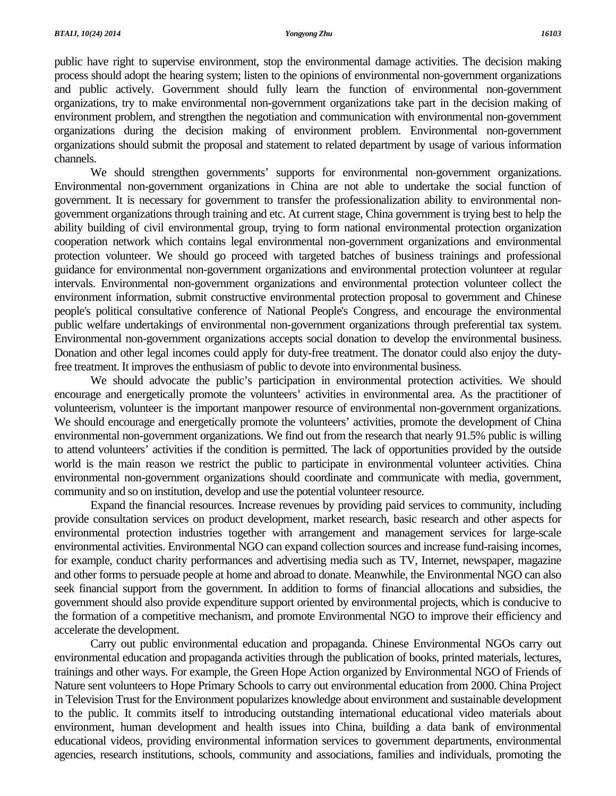public have right to supervise environment, stop the environmental damage activities. The decision making process should adopt the hearing system; listen to the opinions of environmental non-government organizations and public actively. Government should fully learn the function of environmental non-government organizations, try to make environmental non-government organizations take part in the decision making of environment problem, and strengthen the negotiation and communication with environmental non-government organizations during the decision making of environment problem. Environmental non-government organizations should submit the proposal and statement to related department by usage of various information channels.

We should strengthen governments' supports for environmental non-government organizations. Environmental non-government organizations in China are not able to undertake the social function of government. It is necessary for government to transfer the professionalization ability to environmental nongovernment organizations through training and etc. At current stage, China government is trying best to help the ability building of civil environmental group, trying to form national environmental protection organization cooperation network which contains legal environmental non-government organizations and environmental protection volunteer. We should go proceed with targeted batches of business trainings and professional guidance for environmental non-government organizations and environmental protection volunteer at regular intervals. Environmental non-government organizations and environmental protection volunteer collect the environment information, submit constructive environmental protection proposal to government and Chinese people's political consultative conference of National People's Congress, and encourage the environmental public welfare undertakings of environmental non-government organizations through preferential tax system. Environmental non-government organizations accepts social donation to develop the environmental business. Donation and other legal incomes could apply for duty-free treatment. The donator could also enjoy the dutyfree treatment. It improves the enthusiasm of public to devote into environmental business.

 We should advocate the public's participation in environmental protection activities. We should encourage and energetically promote the volunteers' activities in environmental area. As the practitioner of volunteerism, volunteer is the important manpower resource of environmental non-government organizations. We should encourage and energetically promote the volunteers' activities, promote the development of China environmental non-government organizations. We find out from the research that nearly 91.5% public is willing to attend volunteers' activities if the condition is permitted. The lack of opportunities provided by the outside world is the main reason we restrict the public to participate in environmental volunteer activities. China environmental non-government organizations should coordinate and communicate with media, government, community and so on institution, develop and use the potential volunteer resource.

 Expand the financial resources. Increase revenues by providing paid services to community, including provide consultation services on product development, market research, basic research and other aspects for environmental protection industries together with arrangement and management services for large-scale environmental activities. Environmental NGO can expand collection sources and increase fund-raising incomes, for example, conduct charity performances and advertising media such as TV, Internet, newspaper, magazine and other forms to persuade people at home and abroad to donate. Meanwhile, the Environmental NGO can also seek financial support from the government. In addition to forms of financial allocations and subsidies, the government should also provide expenditure support oriented by environmental projects, which is conducive to the formation of a competitive mechanism, and promote Environmental NGO to improve their efficiency and accelerate the development.

 Carry out public environmental education and propaganda. Chinese Environmental NGOs carry out environmental education and propaganda activities through the publication of books, printed materials, lectures, trainings and other ways. For example, the Green Hope Action organized by Environmental NGO of Friends of Nature sent volunteers to Hope Primary Schools to carry out environmental education from 2000. China Project in Television Trust for the Environment popularizes knowledge about environment and sustainable development to the public. It commits itself to introducing outstanding international educational video materials about environment, human development and health issues into China, building a data bank of environmental educational videos, providing environmental information services to government departments, environmental agencies, research institutions, schools, community and associations, families and individuals, promoting the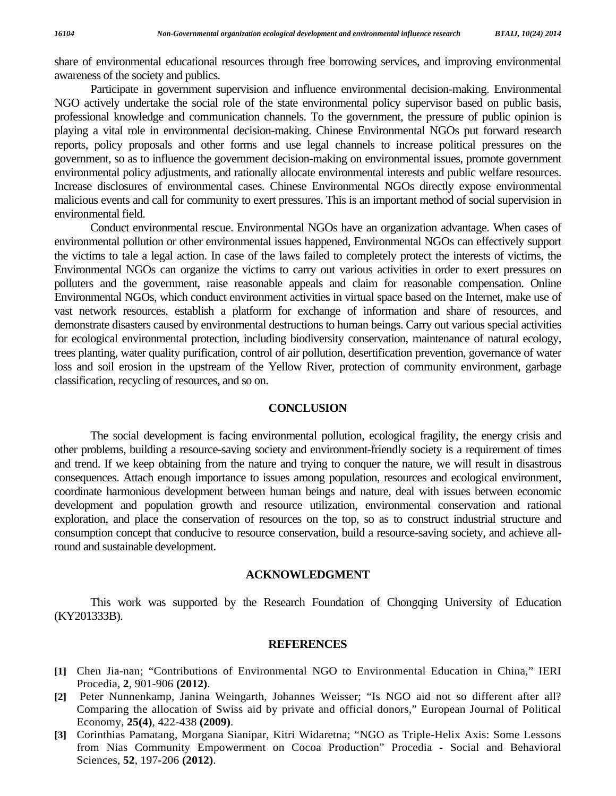share of environmental educational resources through free borrowing services, and improving environmental awareness of the society and publics.

 Participate in government supervision and influence environmental decision-making. Environmental NGO actively undertake the social role of the state environmental policy supervisor based on public basis, professional knowledge and communication channels. To the government, the pressure of public opinion is playing a vital role in environmental decision-making. Chinese Environmental NGOs put forward research reports, policy proposals and other forms and use legal channels to increase political pressures on the government, so as to influence the government decision-making on environmental issues, promote government environmental policy adjustments, and rationally allocate environmental interests and public welfare resources. Increase disclosures of environmental cases. Chinese Environmental NGOs directly expose environmental malicious events and call for community to exert pressures. This is an important method of social supervision in environmental field.

Conduct environmental rescue. Environmental NGOs have an organization advantage. When cases of environmental pollution or other environmental issues happened, Environmental NGOs can effectively support the victims to tale a legal action. In case of the laws failed to completely protect the interests of victims, the Environmental NGOs can organize the victims to carry out various activities in order to exert pressures on polluters and the government, raise reasonable appeals and claim for reasonable compensation. Online Environmental NGOs, which conduct environment activities in virtual space based on the Internet, make use of vast network resources, establish a platform for exchange of information and share of resources, and demonstrate disasters caused by environmental destructions to human beings. Carry out various special activities for ecological environmental protection, including biodiversity conservation, maintenance of natural ecology, trees planting, water quality purification, control of air pollution, desertification prevention, governance of water loss and soil erosion in the upstream of the Yellow River, protection of community environment, garbage classification, recycling of resources, and so on.

#### **CONCLUSION**

 The social development is facing environmental pollution, ecological fragility, the energy crisis and other problems, building a resource-saving society and environment-friendly society is a requirement of times and trend. If we keep obtaining from the nature and trying to conquer the nature, we will result in disastrous consequences. Attach enough importance to issues among population, resources and ecological environment, coordinate harmonious development between human beings and nature, deal with issues between economic development and population growth and resource utilization, environmental conservation and rational exploration, and place the conservation of resources on the top, so as to construct industrial structure and consumption concept that conducive to resource conservation, build a resource-saving society, and achieve allround and sustainable development.

#### **ACKNOWLEDGMENT**

 This work was supported by the Research Foundation of Chongqing University of Education (KY201333B).

#### **REFERENCES**

- **[1]** Chen Jia-nan; "Contributions of Environmental NGO to Environmental Education in China," IERI Procedia, **2**, 901-906 **(2012)**.
- **[2]** Peter Nunnenkamp, Janina Weingarth, Johannes Weisser; "Is NGO aid not so different after all? Comparing the allocation of Swiss aid by private and official donors," European Journal of Political Economy, **25(4)**, 422-438 **(2009)**.
- **[3]** Corinthias Pamatang, Morgana Sianipar, Kitri Widaretna; "NGO as Triple-Helix Axis: Some Lessons from Nias Community Empowerment on Cocoa Production" Procedia - Social and Behavioral Sciences, **52**, 197-206 **(2012)**.